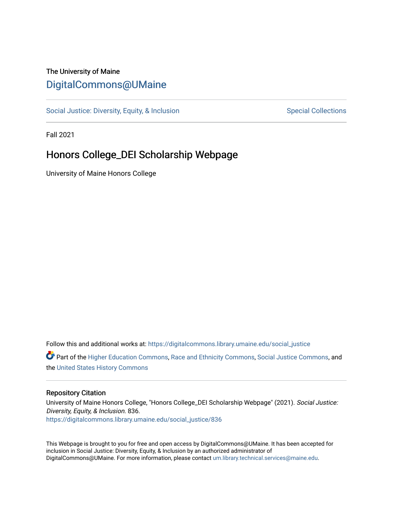### The University of Maine [DigitalCommons@UMaine](https://digitalcommons.library.umaine.edu/)

[Social Justice: Diversity, Equity, & Inclusion](https://digitalcommons.library.umaine.edu/social_justice) [Special Collections](https://digitalcommons.library.umaine.edu/specialcollections) Special Collections

Fall 2021

### Honors College\_DEI Scholarship Webpage

University of Maine Honors College

Follow this and additional works at: [https://digitalcommons.library.umaine.edu/social\\_justice](https://digitalcommons.library.umaine.edu/social_justice?utm_source=digitalcommons.library.umaine.edu%2Fsocial_justice%2F836&utm_medium=PDF&utm_campaign=PDFCoverPages) 

**C** Part of the [Higher Education Commons,](http://network.bepress.com/hgg/discipline/1245?utm_source=digitalcommons.library.umaine.edu%2Fsocial_justice%2F836&utm_medium=PDF&utm_campaign=PDFCoverPages) [Race and Ethnicity Commons,](http://network.bepress.com/hgg/discipline/426?utm_source=digitalcommons.library.umaine.edu%2Fsocial_justice%2F836&utm_medium=PDF&utm_campaign=PDFCoverPages) [Social Justice Commons,](http://network.bepress.com/hgg/discipline/1432?utm_source=digitalcommons.library.umaine.edu%2Fsocial_justice%2F836&utm_medium=PDF&utm_campaign=PDFCoverPages) and the [United States History Commons](http://network.bepress.com/hgg/discipline/495?utm_source=digitalcommons.library.umaine.edu%2Fsocial_justice%2F836&utm_medium=PDF&utm_campaign=PDFCoverPages) 

#### Repository Citation

University of Maine Honors College, "Honors College\_DEI Scholarship Webpage" (2021). Social Justice: Diversity, Equity, & Inclusion. 836. [https://digitalcommons.library.umaine.edu/social\\_justice/836](https://digitalcommons.library.umaine.edu/social_justice/836?utm_source=digitalcommons.library.umaine.edu%2Fsocial_justice%2F836&utm_medium=PDF&utm_campaign=PDFCoverPages) 

This Webpage is brought to you for free and open access by DigitalCommons@UMaine. It has been accepted for inclusion in Social Justice: Diversity, Equity, & Inclusion by an authorized administrator of DigitalCommons@UMaine. For more information, please contact [um.library.technical.services@maine.edu](mailto:um.library.technical.services@maine.edu).